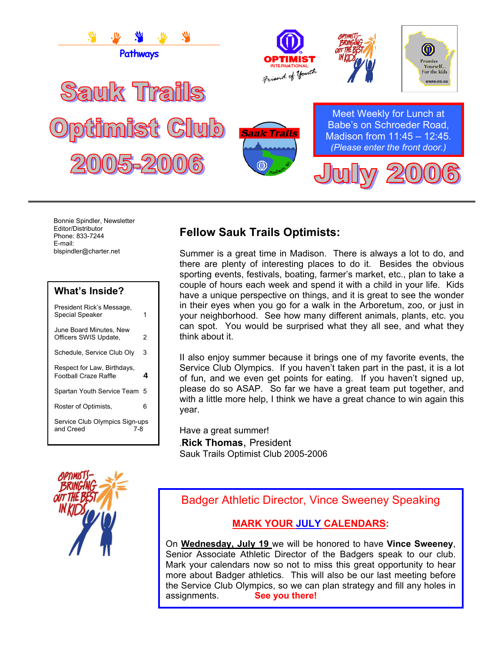

Bonnie Spindler, Newsletter Editor/Distributor Phone: 833-7244 E-mail: blspindler@charter.net

| <b>What's Inside?</b>                                |   |
|------------------------------------------------------|---|
| President Rick's Message.<br>Special Speaker         | 1 |
| June Board Minutes, New<br>Officers SWIS Update,     | 2 |
| Schedule, Service Club Oly                           | 3 |
| Respect for Law, Birthdays,<br>Football Craze Raffle | 4 |
| Spartan Youth Service Team                           | 5 |
| Roster of Optimists.                                 | 6 |
| Service Club Olympics Sign-ups<br>and Creed<br>7-8   |   |

# **Fellow Sauk Trails Optimists:**

Summer is a great time in Madison. There is always a lot to do, and there are plenty of interesting places to do it. Besides the obvious sporting events, festivals, boating, farmer's market, etc., plan to take a couple of hours each week and spend it with a child in your life. Kids have a unique perspective on things, and it is great to see the wonder in their eyes when you go for a walk in the Arboretum, zoo, or just in your neighborhood. See how many different animals, plants, etc. you can spot. You would be surprised what they all see, and what they think about it.

II also enjoy summer because it brings one of my favorite events, the Service Club Olympics. If you haven't taken part in the past, it is a lot of fun, and we even get points for eating. If you haven't signed up, please do so ASAP. So far we have a great team put together, and with a little more help, I think we have a great chance to win again this year.

Have a great summer! .**Rick Thomas**, President Sauk Trails Optimist Club 2005-2006



Badger Athletic Director, Vince Sweeney Speaking

#### **MARK YOUR JULY CALENDARS:**

On **Wednesday, July 19** we will be honored to have **Vince Sweeney**, Senior Associate Athletic Director of the Badgers speak to our club. Mark your calendars now so not to miss this great opportunity to hear more about Badger athletics. This will also be our last meeting before the Service Club Olympics, so we can plan strategy and fill any holes in assignments. **See you there!**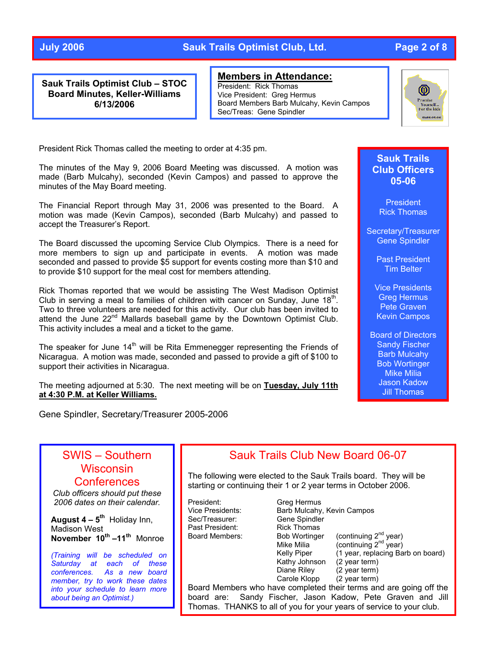#### **July 2006 Sauk Trails Optimist Club, Ltd. Page 2 of 8**

**Sauk Trails Optimist Club – STOC Board Minutes, Keller-Williams 6/13/2006** 

**Members in Attendance:**

President: Rick Thomas Vice President: Greg Hermus Board Members Barb Mulcahy, Kevin Campos Sec/Treas: Gene Spindler



President Rick Thomas called the meeting to order at 4:35 pm.

The minutes of the May 9, 2006 Board Meeting was discussed. A motion was made (Barb Mulcahy), seconded (Kevin Campos) and passed to approve the minutes of the May Board meeting.

The Financial Report through May 31, 2006 was presented to the Board. A motion was made (Kevin Campos), seconded (Barb Mulcahy) and passed to accept the Treasurer's Report.

The Board discussed the upcoming Service Club Olympics. There is a need for more members to sign up and participate in events. A motion was made seconded and passed to provide \$5 support for events costing more than \$10 and to provide \$10 support for the meal cost for members attending.

Rick Thomas reported that we would be assisting The West Madison Optimist Club in serving a meal to families of children with cancer on Sunday, June  $18<sup>th</sup>$ . Two to three volunteers are needed for this activity. Our club has been invited to attend the June  $22^{nd}$  Mallards baseball game by the Downtown Optimist Club. This activity includes a meal and a ticket to the game.

The speaker for June  $14<sup>th</sup>$  will be Rita Emmenegger representing the Friends of Nicaragua. A motion was made, seconded and passed to provide a gift of \$100 to support their activities in Nicaragua.

The meeting adjourned at 5:30. The next meeting will be on **Tuesday, July 11th at 4:30 P.M. at Keller Williams.**

Gene Spindler, Secretary/Treasurer 2005-2006

#### **Sauk Trails Club Officers 05-06**

**President** Rick Thomas

Secretary/Treasurer Gene Spindler

> Past President Tim Belter

Vice Presidents Greg Hermus Pete Graven Kevin Campos

Board of Directors Sandy Fischer Barb Mulcahy Bob Wortinger Mike Milia Jason Kadow Jill Thomas

# SWIS – Southern **Wisconsin Conferences**

*Club officers should put these 2006 dates on their calendar .*

**August 4 – 5<sup>th</sup> Holiday Inn, November 10<sup>th</sup> –11<sup>th</sup> Monroe** Madison West

*(Training will be scheduled on Saturday at each of these conferences. As a new board member, try to work these dates into your schedule to learn more about being an Optimist.)* 

## Sauk Trails Club New Board 06-07

The following were elected to the Sauk Trails board. They will be starting or continuing their 1 or 2 year terms in October 2006.

President: Greg Hermus Sec/Treasurer: Gene Spindler Past President: Rick Thomas

Vice Presidents: Barb Mulcahy, Kevin Campos Board Members: Bob Wortinger (continuing 2<sup>nd</sup> year) Mike Milia  $\overline{a}$  (continuing  $2^{nd}$  year) Kelly Piper  $(1 \text{ year}, \text{ replacing} \text{ Barb} \text{ on } \text{board})$ <br>Kathy Johnson  $(2 \text{ year term})$ Kathy Johnson<br>Diane Riley  $(2 \text{ year term})$ <br> $(2 \text{ year term})$ Carole Klopp

Board Members who have completed their terms and are going off the board are: Sandy Fischer, Jason Kadow, Pete Graven and Jill Thomas. THANKS to all of you for your years of service to your club.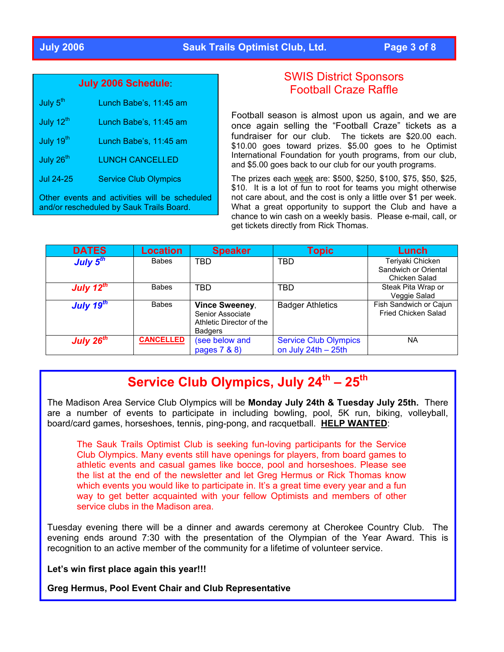### **July 2006 Sauk Trails Optimist Club, Ltd. Page 3 of 8**

#### **July 2006 Schedule**:

| July 5 <sup>th</sup>                                                                      | Lunch Babe's, 11:45 am       |  |
|-------------------------------------------------------------------------------------------|------------------------------|--|
| July 12 <sup>th</sup>                                                                     | Lunch Babe's, 11:45 am       |  |
| July 19 <sup>th</sup>                                                                     | Lunch Babe's, 11:45 am       |  |
| July 26 <sup>th</sup>                                                                     | <b>LUNCH CANCELLED</b>       |  |
| <b>Jul 24-25</b>                                                                          | <b>Service Club Olympics</b> |  |
| Other events and activities will be scheduled<br>and/or rescheduled by Sauk Trails Board. |                              |  |

### SWIS District Sponsors Football Craze Raffle

Football season is almost upon us again, and we are once again selling the "Football Craze" tickets as a fundraiser for our club. The tickets are \$20.00 each. \$10.00 goes toward prizes. \$5.00 goes to he Optimist International Foundation for youth programs, from our club, and \$5.00 goes back to our club for our youth programs.

The prizes each week are: \$500, \$250, \$100, \$75, \$50, \$25, \$10. It is a lot of fun to root for teams you might otherwise not care about, and the cost is only a little over \$1 per week. What a great opportunity to support the Club and have a chance to win cash on a weekly basis. Please e-mail, call, or get tickets directly from Rick Thomas.

| <b>DATES</b>    | <b>Location</b>  | <b>Speaker</b>                                                                   | <b>Topic</b>                 | Lunch                                         |
|-----------------|------------------|----------------------------------------------------------------------------------|------------------------------|-----------------------------------------------|
| July $5th$      | <b>Babes</b>     | <b>TBD</b>                                                                       | TBD                          | Teriyaki Chicken<br>Sandwich or Oriental      |
|                 |                  |                                                                                  |                              | Chicken Salad                                 |
| July $12^{th}$  | <b>Babes</b>     | <b>TBD</b>                                                                       | TBD                          | Steak Pita Wrap or                            |
|                 |                  |                                                                                  |                              | Veggie Salad                                  |
| July $19^{th}$  | <b>Babes</b>     | Vince Sweeney,<br>Senior Associate<br>Athletic Director of the<br><b>Badgers</b> | <b>Badger Athletics</b>      | Fish Sandwich or Cajun<br>Fried Chicken Salad |
| July 26 $^{th}$ | <b>CANCELLED</b> | (see below and                                                                   | <b>Service Club Olympics</b> | <b>NA</b>                                     |
|                 |                  | pages 7 & 8)                                                                     | on July $24th - 25th$        |                                               |

# **Service Club Olympics, July 24th – 25th**

The Madison Area Service Club Olympics will be **Monday July 24th & Tuesday July 25th.** There are a number of events to participate in including bowling, pool, 5K run, biking, volleyball, board/card games, horseshoes, tennis, ping-pong, and racquetball. **HELP WANTED**:

The Sauk Trails Optimist Club is seeking fun-loving participants for the Service Club Olympics. Many events still have openings for players, from board games to athletic events and casual games like bocce, pool and horseshoes. Please see the list at the end of the newsletter and let Greg Hermus or Rick Thomas know which events you would like to participate in. It's a great time every year and a fun way to get better acquainted with your fellow Optimists and members of other service clubs in the Madiso n area.

Tuesday evening there will be a dinner and awards ceremony at Cherokee Country Club. The evening ends around 7:30 with the presentation of the Olympian of the Year Award. This is recognition to an active member of the community for a lifetime of volunteer service.

**Let's win first place again this year!!!**

**Greg Hermus, Pool Event Chair and Club Representative**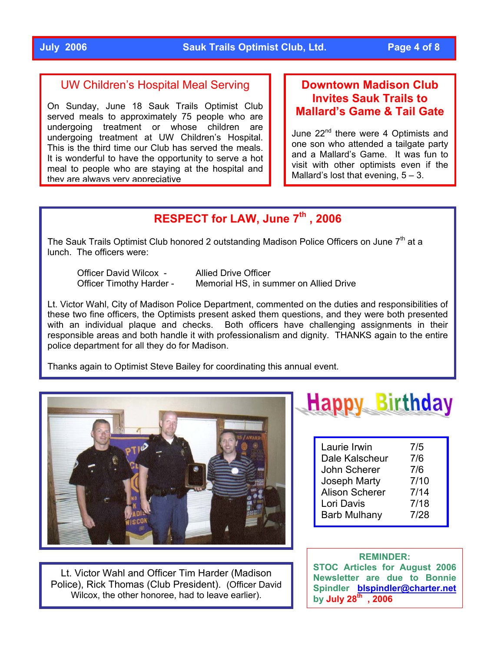### UW Children's Hospital Meal Serving

On Sunday, June 18 Sauk Trails Optimist Club served meals to approximately 75 people who are undergoing treatment or whose children are undergoing treatment at UW Children's Hospital. This is the third time our Club has served the meals. It is wonderful to have the opportunity to serve a hot meal to people who are staying at the hospital and they are always very appreciative

### **Downtown Madison Club Invites Sauk Trails to Mallard's Game & Tail Gate**

June 22<sup>nd</sup> there were 4 Optimists and one son who attended a tailgate party and a Mallard's Game. It was fun to visit with other optimists even if the Mallard's lost that evening,  $5 - 3$ .

# **RESPECT for LAW, June 7th , 2006**

The Sauk Trails Optimist Club honored 2 outstanding Madison Police Officers on June  $7<sup>th</sup>$  at a lunch. The officers were:

Officer David Wilcox - Allied Drive Officer

Officer Timothy Harder - Memorial HS, in summer on Allied Drive

Lt. Victor Wahl, City of Madison Police Department, commented on the duties and responsibilities of these two fine officers, the Optimists present asked them questions, and they were both presented with an individual plaque and checks. Both officers have challenging assignments in their responsible areas and both handle it with professionalism and dignity. THANKS again to the entire police department for all they do for Madison.

Thanks again to Optimist Steve Bailey for coordinating this annual event.



Lt. Victor Wahl and Officer Tim Harder (Madison Police), Rick Thomas (Club President). (Officer David Wilcox, the other honoree, had to leave earlier).



| Laurie Irwin          | 7/5  |
|-----------------------|------|
| Dale Kalscheur        | 7/6  |
| John Scherer          | 7/6  |
| Joseph Marty          | 7/10 |
| <b>Alison Scherer</b> | 7/14 |
| Lori Davis            | 7/18 |
| <b>Barb Mulhany</b>   | 7/28 |

#### **REMINDER: STOC Articles for August 2006 Newsletter are due to Bonnie Spindler [blspindler@charter.net](mailto:blspindler@charter.net) by July 28th , 2006**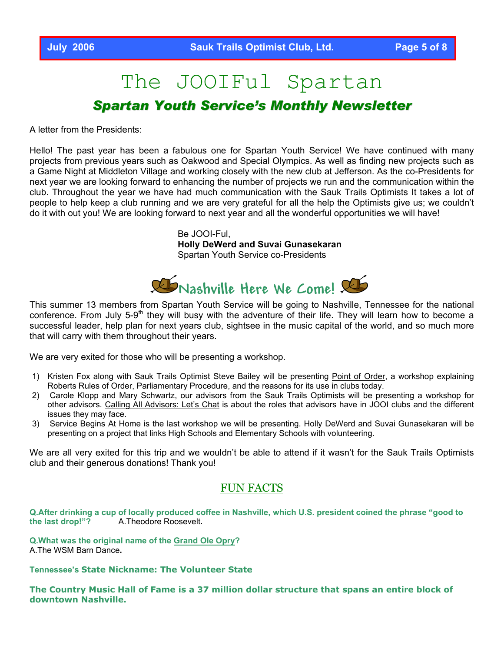# The JOOIFul Spartan *Spartan Youth Service's Monthly Newsletter*

A letter from the Presidents:

Hello! The past year has been a fabulous one for Spartan Youth Service! We have continued with many projects from previous years such as Oakwood and Special Olympics. As well as finding new projects such as a Game Night at Middleton Village and working closely with the new club at Jefferson. As the co-Presidents for next year we are looking forward to enhancing the number of projects we run and the communication within the club. Throughout the year we have had much communication with the Sauk Trails Optimists It takes a lot of people to help keep a club running and we are very grateful for all the help the Optimists give us; we couldn't do it with out you! We are looking forward to next year and all the wonderful opportunities we will have!

> Be JOOI-Ful, **Holly DeWerd and Suvai Gunasekaran**  Spartan Youth Service co-Presidents



This summer 13 members from Spartan Youth Service will be going to Nashville, Tennessee for the national conference. From July 5-9<sup>th</sup> they will busy with the adventure of their life. They will learn how to become a successful leader, help plan for next years club, sightsee in the music capital of the world, and so much more that will carry with them throughout their years.

We are very exited for those who will be presenting a workshop.

- 1) Kristen Fox along with Sauk Trails Optimist Steve Bailey will be presenting Point of Order, a workshop explaining Roberts Rules of Order, Parliamentary Procedure, and the reasons for its use in clubs today.
- 2) Carole Klopp and Mary Schwartz, our advisors from the Sauk Trails Optimists will be presenting a workshop for other advisors. Calling All Advisors: Let's Chat is about the roles that advisors have in JOOI clubs and the different issues they may face.
- 3) Service Begins At Home is the last workshop we will be presenting. Holly DeWerd and Suvai Gunasekaran will be presenting on a project that links High Schools and Elementary Schools with volunteering.

We are all very exited for this trip and we wouldn't be able to attend if it wasn't for the Sauk Trails Optimists club and their generous donations! Thank you!

#### FUN FACTS

**Q.After drinking a cup of locally produced coffee in Nashville, which U.S. president coined the phrase "good to the last drop!"?** A.Theodore Roosevelt**.** 

**Q.What was the original name of the [Grand](http://www.nashville.com/music/opry/index.html) Ole Opry?**  A.The WSM Barn Dance**.** 

**Tennessee's State Nickname: The Volunteer State**

**The Country Music Hall of Fame is a 37 million dollar structure that spans an entire block of downtown Nashville.**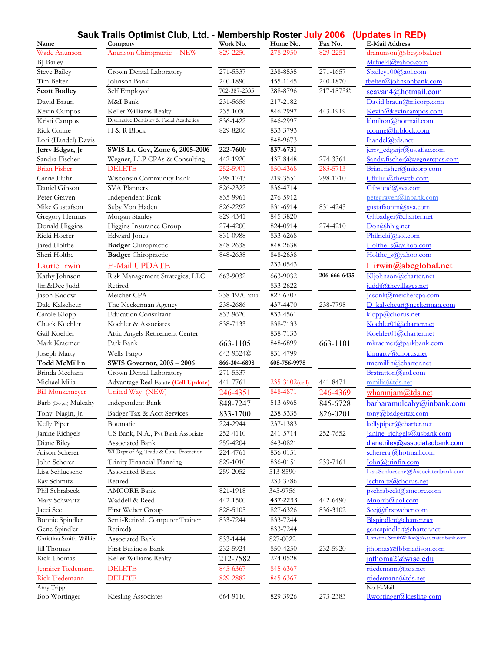#### **Sauk Trails Optimist Club, Ltd. - Membership Roster July 2006 (Updates in RED)**

| Name                                    | Sauk Trails Optimist Giub, Ltd. - Membership Roster July 2006 (Opuales III RED)<br>Company | Work No.      | Home No.                        | Fax No.      | <b>E-Mail Address</b>                       |
|-----------------------------------------|--------------------------------------------------------------------------------------------|---------------|---------------------------------|--------------|---------------------------------------------|
| Wade Anunson                            | Anunson Chiropractic - NEW                                                                 | 829-2250      | 278-2950                        | 829-2251     | dranunson@sbcglobal.net                     |
| <b>BJ</b> Bailey                        |                                                                                            |               |                                 |              | Mrfuel4@yahoo.com                           |
| <b>Steve Bailey</b>                     | Crown Dental Laboratory                                                                    | 271-5537      | 238-8535                        | 271-1657     | Sbailey100@aol.com                          |
| Tim Belter                              | Johnson Bank                                                                               | 240-1890      | 455-1145                        | 240-1870     | tbelter@iohnsonbank.com                     |
| <b>Scott Bodley</b>                     | Self Employed                                                                              | 702-387-2335  | 288-8796                        | 217-1873©    | seavan4@hotmail.com                         |
| David Braun                             | M&I Bank                                                                                   | 231-5656      | 217-2182                        |              | David.braun@micorp.com                      |
| Kevin Campos                            | Keller Williams Realty                                                                     | 235-1030      | 846-2997                        | 443-1919     | Kevin@kevincampos.com                       |
| Kristi Campos                           | Distinctive Dentistry & Facial Aesthetics                                                  | 836-1422      | 846-2997                        |              | klmilton@hotmail.com                        |
| Rick Conne                              | H & R Block                                                                                | 829-8206      | 833-3793                        |              | rconne@hrblock.com                          |
| Lori (Handel) Davis                     |                                                                                            |               | 848-9673                        |              | lhandel@tds.net                             |
| Jerry Edgar, Jr                         | SWIS Lt. Gov, Zone 6, 2005-2006                                                            | 222-7600      | 837-6731                        |              | jerry edgarjr@us.aflac.com                  |
| Sandra Fischer                          | Wegner, LLP CPAs & Consulting                                                              | 442-1920      | 437-8448                        | 274-3361     | Sandy.fischer@wegnercpas.com                |
| <b>Brian Fisher</b>                     | <b>DELETE</b>                                                                              | 252-5901      | 850-4368                        | 283-5713     | Brian.fisher@micorp.com                     |
| Carrie Fluhr                            | Wisconsin Community Bank                                                                   | 298-1743      | 219-3551                        | 298-1710     | Cfluhr.@thewcb.com                          |
| Daniel Gibson                           | SVA Planners                                                                               | 826-2322      | 836-4714                        |              | Gibsond@sva.com                             |
| Peter Graven                            | <b>Independent Bank</b>                                                                    | 835-9961      | 276-5912                        |              | petegraven@inbank.com                       |
| Mike Gustafson                          | Suby Von Haden                                                                             | 826-2292      | 831-6914                        | 831-4243     | gustafsonm@sva.com                          |
| Gregory Hermus                          | Morgan Stanley                                                                             | 829-4341      | 845-3820                        |              | Ghbadger@charter.net                        |
| Donald Higgins                          | Higgins Insurance Group                                                                    | 274-4200      | 824-0914                        | 274-4210     | Don@hhig.net                                |
| Ricki Hoefer                            | Edward Jones                                                                               | 831-0988      | 833-6268                        |              | Philricki@aol.com                           |
| Jared Holthe                            | <b>Badger</b> Chiropractic                                                                 | 848-2638      | 848-2638                        |              | Holthe s@yahoo.com                          |
| Sheri Holthe                            | <b>Badger</b> Chiropractic                                                                 | 848-2638      | 848-2638                        |              | Holthe s@yahoo.com                          |
| Laurie Irwin                            | E-Mail UPDATE                                                                              |               | 233-0543                        |              | 1_irwin@sbcglobal.net                       |
| Kathy Johnson                           | Risk Management Strategies, LLC                                                            | 663-9032      | 663-9032                        | 206-666-6435 | Kljohnson@charter.net                       |
| Jim&Dee Judd                            | Retired                                                                                    |               | 833-2622                        |              | juddj@thevillages.net                       |
| Jason Kadow                             | Meicher CPA                                                                                | 238-1970 x310 | 827-6707                        |              | asonk@meichercpa.com                        |
| Dale Kalscheur                          | The Neckerman Agency                                                                       | 238-2686      | 437-4470                        | 238-7798     | D kalscheur@neckerman.com                   |
| Carole Klopp                            | <b>Education Consultant</b>                                                                | 833-9620      | 833-4561                        |              | klopp@chorus.net                            |
| Chuck Koehler                           | Koehler & Associates                                                                       | 838-7133      | 838-7133                        |              | Koehler01@charter.net                       |
| Gail Koehler                            | Attic Angels Retirement Center                                                             |               | 838-7133                        |              | Koehler01@charter.net                       |
| Mark Kraemer                            | Park Bank                                                                                  | 663-1105      | 848-6899                        | 663-1101     | mkraemer@parkbank.com                       |
|                                         |                                                                                            | 643-9524C     |                                 |              |                                             |
| Joseph Marty<br><b>Todd McMillin</b>    | Wells Fargo<br><b>SWIS Governor, 2005 - 2006</b>                                           | 866-304-6898  | 831-4799<br>608-756-9978        |              | khmarty@chorus.net<br>tmcmillin@charter.net |
|                                         | Crown Dental Laboratory                                                                    |               |                                 |              |                                             |
| Brinda Mecham                           |                                                                                            | 271-5537      |                                 |              | Brstratton@aol.com<br>mmilia@tds.net        |
| Michael Milia<br><b>Bill Monkemeyer</b> | Advantage Real Estate (Cell Update)<br>United Way (NEW)                                    | 441-7761      | $235 - 3102$ (cell)<br>848-4871 | 441-8471     |                                             |
|                                         |                                                                                            | 246-4351      |                                 | 246-4369     | whamnjam@tds.net                            |
| Barb (Dwyer) Mulcahy                    | Independent Bank                                                                           | 848-7247      | 513-6965                        | 845-6728     | barbaramulcahy@inbank.com                   |
| Tony Nagin, Jr.                         | Badger Tax & Acct Services                                                                 | 833-1700      | 238-5335                        | 826-0201     | tony@badgertax.com                          |
| Kelly Piper                             | Boumatic                                                                                   | 224-2944      | 237-1383                        |              | kellypiper@charter.net                      |
| Janine Richgels                         | US Bank, N.A., Pvt Bank Associate                                                          | 252-4110      | 241-5714                        | 252-7652     | Janine richgels@usbank.com                  |
| Diane Riley                             | Associated Bank                                                                            | $259 - 4204$  | 643-0821                        |              | diane.riley@associatedbank.com              |
| Alison Scherer                          | WI Dept of Ag, Trade & Cons. Protection.                                                   | 224-4761      | 836-0151                        |              | schereraj@hotmail.com                       |
| John Scherer                            | Trinity Financial Planning                                                                 | 829-1010      | 836-0151                        | 233-7161     | John@trinfin.com                            |
| Lisa Schluesche                         | Associated Bank                                                                            | 259-2052      | 513-8590                        |              | Lisa.Schluesche@Associatedbank.com          |
| Ray Schmitz                             | Retired                                                                                    |               | 233-3786                        |              | Ischmitz@chorus.net                         |
| Phil Schrabeck                          | <b>AMCORE Bank</b>                                                                         | 821-1918      | 345-9756                        |              | pschrabeck@amcore.com                       |
| Mary Schwartz                           | Waddell & Reed                                                                             | 442-1500      | 437-2233                        | 442-6490     | Mnorrb@aol.com                              |
| Jacci See                               | First Weber Group                                                                          | 828-5105      | 827-6326                        | 836-3102     | Seej@firstweber.com                         |
| <b>Bonnie</b> Spindler                  | Semi-Retired, Computer Trainer                                                             | 833-7244      | 833-7244                        |              | Blspindler@charter.net                      |
| Gene Spindler                           | Retired)                                                                                   |               | 833-7244                        |              | genespindler@charter.net                    |
| Christina Smith-Wilkie                  | Associated Bank                                                                            | 833-1444      | 827-0022                        |              | Christina.SmithWilkie@Associatedbank.com    |
| Jill Thomas                             | First Business Bank                                                                        | 232-5924      | 850-4250                        | 232-5920     | jthomas@fbbmadison.com                      |
| <b>Rick Thomas</b>                      | Keller Williams Realty                                                                     | 212-7582      | 274-0528                        |              | jathoma2@wisc.edu                           |
| Jennifer Tiedemann                      | <b>DELETE</b>                                                                              | 845-6367      | 845-6367                        |              | rtiedemann@tds.net                          |
| <b>Rick Tiedemann</b>                   | <b>DELETE</b>                                                                              | 829-2882      | 845-6367                        |              | rtiedemann@tds.net                          |
| Amy Tripp                               |                                                                                            |               |                                 |              | No E-Mail                                   |
| <b>Bob Wortinger</b>                    | Kiesling Associates                                                                        | 664-9110      | 829-3926                        | 273-2383     | Rwortinger@kiesling.com                     |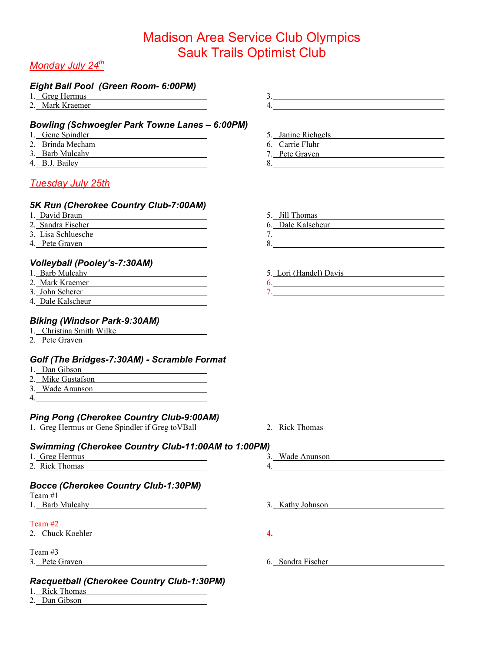# *Monday July 24th*

# *Eight Ball Pool (Green Room- 6:00PM)*

| Eight Ball Pool (Green Room- 6:00PM)                                                                                                                                                                                                 |                                                           |
|--------------------------------------------------------------------------------------------------------------------------------------------------------------------------------------------------------------------------------------|-----------------------------------------------------------|
| 1. Greg Hermus <b>Example 2.1 Figure 1.</b> Separate 1. All and 2.1 Figure 1. All and 2.1 Figure 1. All and 2.1 Figure 1.                                                                                                            | $\begin{array}{c}\n3.\n\end{array}$                       |
| 2. Mark Kraemer                                                                                                                                                                                                                      |                                                           |
| <b>Bowling (Schwoegler Park Towne Lanes - 6:00PM)</b>                                                                                                                                                                                |                                                           |
| 1. Gene Spindler                                                                                                                                                                                                                     | 5. Janine Richgels                                        |
| 2. Brinda Mecham                                                                                                                                                                                                                     | 6. Carrie Fluhr                                           |
|                                                                                                                                                                                                                                      |                                                           |
| 3. Barb Mulcahy                                                                                                                                                                                                                      | 7. Pete Graven                                            |
| 4. B.J. Bailey <b>Example 2.</b> Bailey<br><u>Tuesday July 25th</u>                                                                                                                                                                  | 8.                                                        |
|                                                                                                                                                                                                                                      |                                                           |
| 5K Run (Cherokee Country Club-7:00AM)                                                                                                                                                                                                |                                                           |
| 1. David Braun<br><u> 1989 - Johann Barn, mars ann an t-Amhair an t-Amhair an t-Amhair an t-Amhair an t-Amhair an t-Amhair an t-Amh</u>                                                                                              | 5. Jill Thomas                                            |
| 2. Sandra Fischer <b>Executive State State State State State State State State State State State State State State State State State State State State State State State State State State State State State State State State S</b> | 6. Dale Kalscheur                                         |
| 3. Lisa Schluesche                                                                                                                                                                                                                   |                                                           |
| 4. Pete Graven                                                                                                                                                                                                                       | $8. \qquad \qquad 8. \qquad \qquad$                       |
| Volleyball (Pooley's-7:30AM)                                                                                                                                                                                                         |                                                           |
|                                                                                                                                                                                                                                      |                                                           |
| 1. Barb Mulcahy                                                                                                                                                                                                                      | 5. Lori (Handel) Davis                                    |
| 2. Mark Kraemer                                                                                                                                                                                                                      | 6.                                                        |
| 3. John Scherer                                                                                                                                                                                                                      |                                                           |
| 4. Dale Kalscheur                                                                                                                                                                                                                    |                                                           |
| <b>Biking (Windsor Park-9:30AM)</b><br>1. Christina Smith Wilke                                                                                                                                                                      |                                                           |
| 2. Pete Graven                                                                                                                                                                                                                       |                                                           |
|                                                                                                                                                                                                                                      |                                                           |
| Golf (The Bridges-7:30AM) - Scramble Format                                                                                                                                                                                          |                                                           |
| 1. Dan Gibson                                                                                                                                                                                                                        |                                                           |
| 2. Mike Gustafson                                                                                                                                                                                                                    |                                                           |
| 3. Wade Anunson                                                                                                                                                                                                                      |                                                           |
|                                                                                                                                                                                                                                      |                                                           |
| <b>Ping Pong (Cherokee Country Club-9:00AM)</b>                                                                                                                                                                                      |                                                           |
| 1. Greg Hermus or Gene Spindler if Greg to VBall 2. Rick Thomas                                                                                                                                                                      |                                                           |
|                                                                                                                                                                                                                                      |                                                           |
| Swimming (Cherokee Country Club-11:00AM to 1:00PM)                                                                                                                                                                                   |                                                           |
| 1. Greg Hermus                                                                                                                                                                                                                       | 3. Wade Anunson                                           |
| 2. Rick Thomas                                                                                                                                                                                                                       | 4.                                                        |
|                                                                                                                                                                                                                                      |                                                           |
| <b>Bocce (Cherokee Country Club-1:30PM)</b>                                                                                                                                                                                          |                                                           |
| Team $#1$                                                                                                                                                                                                                            |                                                           |
| 1. Barb Mulcahy and the contract of the contract of the contract of the contract of the contract of the contract of the contract of the contract of the contract of the contract of the contract of the contract of the contra       | 3. Kathy Johnson                                          |
| Team #2                                                                                                                                                                                                                              |                                                           |
| 2. Chuck Koehler                                                                                                                                                                                                                     | 4.<br><u> 1980 - Johann Stein, marwolaethau (b. 1980)</u> |
|                                                                                                                                                                                                                                      |                                                           |
| Team #3                                                                                                                                                                                                                              |                                                           |
| 3. Pete Graven                                                                                                                                                                                                                       | 6. Sandra Fischer                                         |
|                                                                                                                                                                                                                                      |                                                           |

### *Racquetball (Cherokee Country Club-1:30PM)*

- 1. Rick Thomas
- 2. Dan Gibson